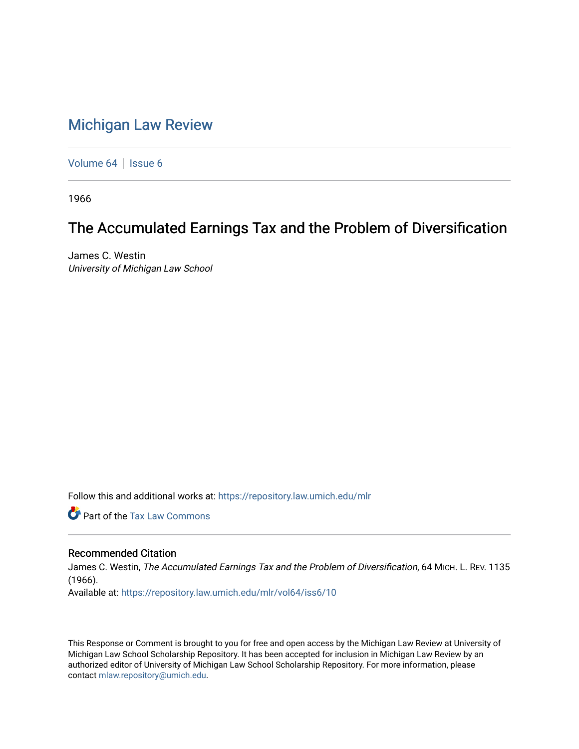# [Michigan Law Review](https://repository.law.umich.edu/mlr)

[Volume 64](https://repository.law.umich.edu/mlr/vol64) | [Issue 6](https://repository.law.umich.edu/mlr/vol64/iss6)

1966

# The Accumulated Earnings Tax and the Problem of Diversification

James C. Westin University of Michigan Law School

Follow this and additional works at: [https://repository.law.umich.edu/mlr](https://repository.law.umich.edu/mlr?utm_source=repository.law.umich.edu%2Fmlr%2Fvol64%2Fiss6%2F10&utm_medium=PDF&utm_campaign=PDFCoverPages) 

**C** Part of the [Tax Law Commons](http://network.bepress.com/hgg/discipline/898?utm_source=repository.law.umich.edu%2Fmlr%2Fvol64%2Fiss6%2F10&utm_medium=PDF&utm_campaign=PDFCoverPages)

### Recommended Citation

James C. Westin, The Accumulated Earnings Tax and the Problem of Diversification, 64 MICH. L. REV. 1135 (1966). Available at: [https://repository.law.umich.edu/mlr/vol64/iss6/10](https://repository.law.umich.edu/mlr/vol64/iss6/10?utm_source=repository.law.umich.edu%2Fmlr%2Fvol64%2Fiss6%2F10&utm_medium=PDF&utm_campaign=PDFCoverPages) 

This Response or Comment is brought to you for free and open access by the Michigan Law Review at University of Michigan Law School Scholarship Repository. It has been accepted for inclusion in Michigan Law Review by an authorized editor of University of Michigan Law School Scholarship Repository. For more information, please contact [mlaw.repository@umich.edu](mailto:mlaw.repository@umich.edu).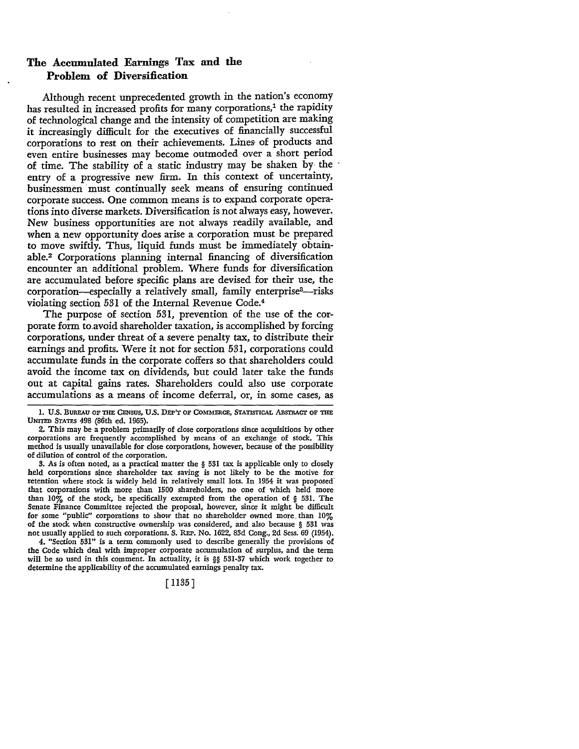## **The Accumulated Earnings Tax and the Problem of Diversification**

Although recent unprecedented growth in the nation's economy has resulted in increased profits for many corporations,<sup>1</sup> the rapidity of technological change and the intensity of competition are making it increasingly difficult for the executives of financially successful corporations to rest on their achievements. Lines of products and even entire businesses may become outmoded over a short period of time. The stability of a static industry may be shaken by- the entry of a progressive new firm. In this context of uncertainty, businessmen must continually seek means of ensuring continued corporate success. One common means is to expand corporate operations into diverse markets. Diversification is not always easy, however. New business opportunities are not always readily available, and when a new opportunity does arise a corporation must be prepared to move swiftly. Thus, liquid funds must be immediately obtainable.2 Corporations planning internal financing of diversification encounter an additional problem. Where funds for diversification are accumulated before specific plans are devised for their use, the corporation-especially a relatively small, family enterprise<sup>3</sup>-risks violating section 531 of the Internal Revenue Code. <sup>4</sup>

The purpose of section 531, prevention of the use of the corporate form to.avoid shareholder taxation, is accomplished by forcing corporations, under threat of a severe penalty tax, to distribute their earnings and profits. Were it not for section 531, corporations could accumulate funds in the corporate coffers so that shareholders could avoid the income tax on dividends, but could later take the funds out at capital gains rates. Shareholders could also use corporate accumulations as a means of income deferral, or, in some cases, as

2. This may be a problem primarily of close corporations since acquisitions by other corporations are frequently accomplished by means of an exchange of stock. This method is usually unavailable for close corporations, however, because of the possibility of dilution of control of the corporation.

3. As is often noted, as a practical matter the § 531 tax is applicable only to closely held corporations since shareholder tax saving is not likely to be the motive for retention where stock is widely held in relatively small lots. In 1954 it was proposed that corporations with more than 1500 shareholders, no one of which held more than  $10\%$  of the stock, be specifically exempted from the operation of § 531. The Senate Finance Committee rejected the proposal, however, since it might be difficult for some "public" corporations to show that no shareholder owned more than 10% of the stock when constructive ownership was considered, and also because § 531 was not usually applied to such corporations. S. REP. No. 1622, 83d Cong., 2d Sess. 69 (1954).

4. "Section 531" is a term commonly used to describe generally the provisions of the Code which deal with improper corporate accumulation of surplus, and the term will be so used in this comment. In actuality, it is §§ 531-37 which work together to determine the applicability of the accumulated earnings penalty tax.

#### [ 1135]

<sup>1.</sup> U.S. BUREAU OF THE CENSUS, U.S. DEP'T OF COMMERCE, STATISTICAL ABSTRACT OF THE UNITED STATES 498 (86th ed. 1965).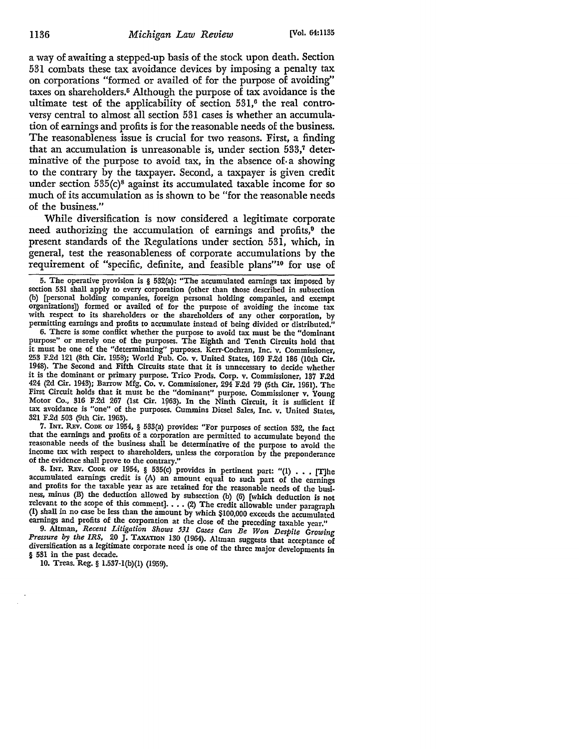a way of awaiting a stepped-up basis of the stock upon death. Section 531 combats these tax avoidance devices by imposing a penalty tax on corporations "formed or availed of for the purpose of avoiding" taxes on shareholders.<sup>5</sup> Although the purpose of tax avoidance is the ultimate test of the applicability of section  $531$ ,<sup>6</sup> the real controversy central to almost all section 531 cases is whether an accumulation of earnings and profits is for the reasonable needs of the business. The reasonableness issue is crucial for two reasons. First, a finding that an accumulation is unreasonable is, under section 533,7 determinative of the purpose to avoid tax, in the absence of a showing to the contrary by the taxpayer. Second, a taxpayer is given credit under section 535(c)8 against its accumulated taxable income for so much of its accumulation as is shown to be "for the reasonable needs of the business."

While diversification is now considered a legitimate corporate need authorizing the accumulation of earnings and profits,<sup>0</sup> the present standards of the Regulations under section 531, which, in general, test the reasonableness of corporate accumulations by the requirement of "specific, definite, and feasible plans"10 for use of

5. The operative provision is § 532(a): "The accumulated earnings tax imposed by section 531 shall apply to every corporation (other than those described in subsection (b) [personal holding companies, foreign personal holding companies, and exempt organizations]) formed or availed of for the purpose of avoiding the income tax with respect to its shareholders or the shareholders of any other corporation, by permitting earnings and profits to accumulate instead of being divided or distributed."

6. There is some conflict whether the purpose to avoid tax must be the "dominant purpose" or merely one of the purposes. The Eighth and Tenth Circuits hold that it must be one of the "determinating" purposes. Kerr-Cochran, Inc. v. Commissioner, 253 F.2d 121 (8th Cir. 1958); World Pub. Co. v. United States, 169 F.2d 186 (10th Cir. 1948). The Second and Fifth Circuits state that it is unnecessary to decide whether it is the dominant or primary purpose. Trico Prods. Corp. v. Commissioner, 187 F.2d 424 (2d Cir. 1943); Barrow Mfg. Co. v. Commissioner, 294 F.2d 79 (5th Cir. 1961). The First Circuit holds that it must be the "dominant" purpose. Commissioner v. Young Motor Co., 316 F.2d 267 (1st Cir. 1963). In the Ninth Circuit, it is sufficient if tax avoidance is "one" of the purposes. Cummins Diesel Sales, Inc. v. United States, 321 F.2d 503 (9th Cir. 1963).

7. INT. REv. CODE OF 1954, § 533(a) provides: "For purposes of section 532, the fact that the earnings and profits of a corporation are permitted to accumulate beyond the reasonable needs of the business shall be determinative of the purpose to avoid the income tax with respect to shareholders, unless the corporation by the preponderance of the evidence shall prove to the contrary."

8. INT. REV. CODE OF 1954, § 535(c) provides in pertinent part: "(1) . . . [T]he accumulated earnings credit is (A) an amount equal to such part of the earnings and profits for the taxable year as are retained for the reasonable needs of the business, minus (B) the deduction allowed by subsection (b) (6) [which deduction is not relevant to the scope of this comment].  $\ldots$  (2) The credit allowable under paragraph (1) shall m no case be less than the amount by which \$100,000 exceeds the accumulated earnings and profits of the corporation at the close of the preceding taxable year."

9. Altman, *Recent Litigation Shows 5Jl Cases Can Be Won Despite Growing Pressure by the IRS, 20 J. TAXATION 130 (1964). Altman suggests that acceptance of* diversification as a legitimate corporate need 1s one of the three major developments in § 531 in the past decade.

10. Treas. Reg. § 1.537-l(b){l) (1959).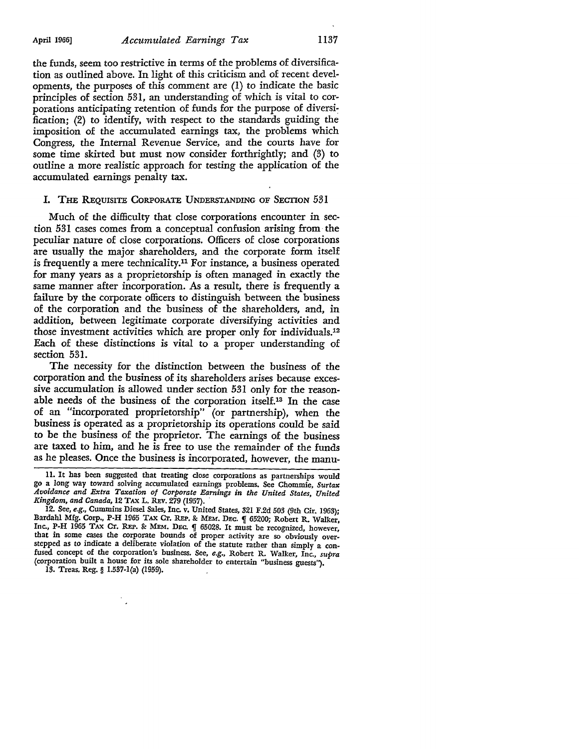the funds, seem too restrictive in terms of the problems of diversification as outlined above. In light of this criticism and of recent developments, the purposes of this comment are (1) to indicate the basic principles of section 531, an understanding of which is vital to corporations anticipating retention of funds for the purpose of diversi: fication; (2) to identify, with respect to the standards guiding the imposition of the accumulated earnings tax, the problems which Congress, the Internal Revenue Service, and the courts have for some time skirted but must now consider forthrightly; and (3) to outline a more realistic approach for testing the application of the accumulated earnings penalty tax.

#### I. THE REQUISITE CORPORATE UNDERSTANDING OF SECTION 531

Much of the difficulty that close corporations encounter in section 531 cases comes from a conceptual confusion arising from the peculiar nature of close corporations. Officers of close corporations are usually the major shareholders, and the corporate form itself is frequently a mere technicality.11 For instance, a business operated for many years as a proprietorship is often managed in exactly the same manner after incorporation. As a result, there is frequently a failure by the corporate officers to distinguish between the business of the corporation and the business of the shareholders, and, in addition, between legitimate corporate diversifying activities and those investment activities which are proper only for individuals.12 Each of these distinctions is vital to a proper understanding of section 531.

The necessity for the distinction between the business of the corporation and the business of its shareholders arises because excessive accumulation is allowed under section 531 only for the reasonable needs of the business of the corporation itself.13 In the case of an "incorporated proprietorship" (or partnership), when the business is operated as a proprietorship its operations could be said to be the business of the proprietor. The earnings of the business are taxed to him, and he is free to use the remainder of the funds as he pleases. Once the business is incorporated, however, the manu-

13. Treas. Reg. § 1.537-I(a) (1959). .

<sup>11.</sup> It has been suggested that treating close corporations as partnerships would go a long way toward solving accumulated earnings problems. See Chommie, *Surtax*  Avoidance and Extra Taxation of Corporate Earnings in the United States, United *Kingdom, and Canada,* 12 TAX L. REv. 279 (1957). ·

<sup>12.</sup> See, *e.g.,* Cummins Diesel Sales, Inc. v. United States, 321 F.2d 503 (9th Cir. 1963); Bardahl Mfg. Corp., P-H 1965 TAX Cr. REP. & MEM. DEC. § 65200; Robert R. Walker, Inc., P-H 1965 TAX CT. REP. & MEM. DEC.  $\oint$  65028. It must be recognized, however, that in some cases the corporate bounds of proper activity are so obviously overstepped as to indicate a deliberate violation of the statute rather than simply a confused concept of the corporation's business. See, *e.g.,* Robert R. Walker, Inc., *supra*  (corporation built a house for its sole shareholder to entertain "business guests').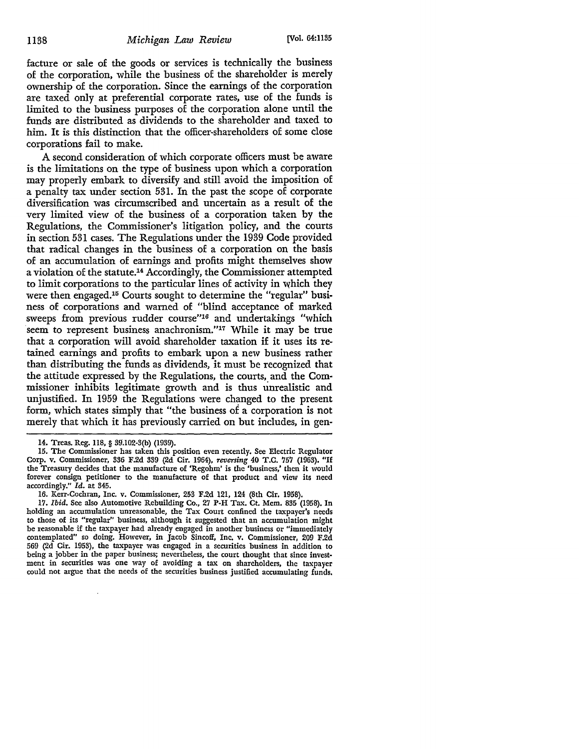facture or sale of the goods or services is technically the business of the corporation, while the business of the shareholder is merely ownership of the corporation. Since the earnings of the corporation are taxed only at preferential corporate rates, use of the funds is limited to the business purposes of the corporation alone until the funds are distributed as dividends to the shareholder and taxed to him. It is this distinction that the officer-shareholders of some close corporations fail to make.

A second consideration of which corporate officers must be aware is the limitations on the type of business upon which a corporation may properly embark to diversify and still avoid the imposition of a penalty tax under section 531. In the past the scope of corporate diversification was circumscribed and uncertain as a resuit of the very limited view of the business of a corporation taken by the Regulations, the Commissioner's litigation policy, and the courts in section 531 cases. The Regulations under the 1939 Code provided that radical changes in the business of a corporation on the basis of an accumulation of earnings and profits might themselves show a violation of the statute.14 Accordingly, the Commissioner attempted to limit corporations to the particular lines of activity in which they were then engaged.15 Courts sought to determine the "regular" business of corporations and warned of "blind acceptance of marked sweeps from previous rudder course"16 and undertakings "which seem to represent business anachronism."<sup>17</sup> While it may be true that a corporation will avoid shareholder taxation if it uses its retained earnings and profits to embark upon a new business rather than distributing the funds as dividends, it must be recognized that the attitude expressed by the Regulations, the courts, and the Commissioner inhibits legitimate growth and is thus unrealistic and unjustified. In 1959 the Regulations were changed to the present form, which states simply that "the business of a corporation is not merely that which it has previously carried on but includes, in gen-

17. *Ibid.* See also Automotive Rebuilding Co., 27 P-H Tax. Ct. Mem. 835 (1958). In holding an accumulation unreasonable, the Tax Court confined the taxpayer's needs to those of its "regular" business, although it suggested that an accumulation might be reasonable if the taxpayer had already engaged in another business or "immediately contemplated" so doing. However, in Jacob Sincoff, Inc. v. Commissioner, 209 F.2d 569 (2d Cir. 1953), the taxpayer was engaged in a securities business in addition to being a jobber in the paper business; nevertheless, the court thought that since investment in securities was one way of avoiding a tax on shareholders, the taxpayer could not argue that the needs of the securities business justified accumulating funds.

<sup>14.</sup> Treas. Reg. 118, § 39.102-3(b) (1939).

<sup>15.</sup> The Commissioner has taken this position even recently. See Electric Regulator Corp. v. Commissioner, 336 F.2d 339 (2d Cir. 1964), *reversing* 40 T.C. 757 (1963). "If the Treasury decides that the manufacture of 'Regohm' is the 'business,' then it would forever consign petitioner to the manufacture of that product and view its need accordingly." *Id.* at 345.

<sup>16.</sup> Kerr-Cochran, Inc. v. Commissioner, 253 F.2d 121, 124 (8th Cir. 1958).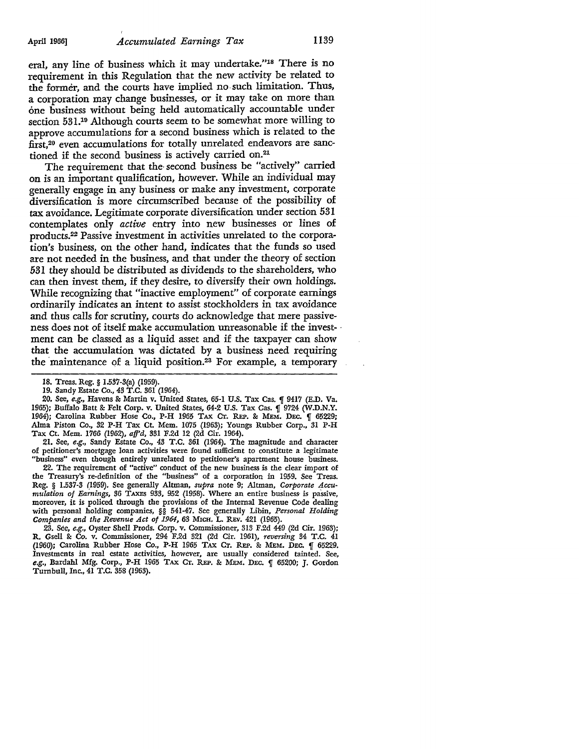eral, any line of business which it may undertake/'18 There is no requirement in this Regulation that the new activity be related to the former, and the courts have implied no, such limitation. Thus, a corporation may change businesses, or it may take on more than one business without being held automatically accountable under section 531.19 Although courts seem to be somewhat more willing to approve accumulations for a second business which is related to the first,<sup>20</sup> even accumulations for totally unrelated endeavors are sanctioned if the second business is actively carried on.<sup>21</sup>

The requirement that the· second business be "actively" carried on is an important qualification, however. While an individual may generally engage in any business or make any investment, corporate diversification is more circumscribed because of the possibility of tax avoidance. Legitimate corporate diversification under section 531 contemplates only *active* entry into new businesses or lines of products.22 Passive investment in activities unrelated to the corporation's business, on the other hand, indicates that the funds so used are not needed in the business, and that under the theory of section 531 they should be distributed as dividends to the shareholders, who can then invest them, if they desire, to diversify their own holdings. While recognizing that "inactive employment" of corporate earnings ordinarily indicates an intent to assist stockholders in tax avoidance and thus calls for scrutiny, courts do acknowledge that mere passiveness does not of itself make accumulation unreasonable if the invest- , ment can be classed as a liquid asset and if the taxpayer can show that the accumulation was dictated by a business need requiring the 'maintenance of a liquid position.23 For example, a temporary

20. See, *e.g.*, Havens & Martin v. United States, 65-1 U.S. Tax Cas. ¶ 9417 (E.D. Va. 1965); Buffalo Batt & Felt Corp. v. United States, 64-2 U.S. Tax Cas. [19724 (W.D.N.Y. 1964); Carolina Rubber Hose Co., P-H 1965 TAX Cr. REP. & MEM. DEC. [65229; Alma Piston Co., 32 P-H Tax Ct. Mem. 1075 (1963); Youngs Rubber Corp., 31 P-H Tax Ct. Mem. 1766 (1962), *aff'd,* 331 F.2d 12 (2d Cir. 1964).

21. See, *e.g.,* Sandy Estate Co., 43 T.C. 361 (1964). The magnitude and character of petitioner's mortgage loan activities were found sufficient to constitute a legitimate "business" even though entirely unrelated to petitioner's apartment house business.

22. The requirement of "active" conduct of the new business is the clear import of the Treasury's re-definition of the "business" of a corporation in 1959. See Treas. Reg. § 1.537-3 (1959). See generally Altman, *supra* note 9; Altman, *Corporate Accu*mulation of Earnings, 36 TAXES 933, 952 (1958). Where an entire business is passive, moreover, it is policed through the provisions of the Internal Revenue Code dealing with personal holding companies, §§ 541-47. See generally Libin, *Personal Holding Companies and the Revenue Act of 1964,* 63 MICH. L. REv. 421 (1965).

23. See, *e.g.,* Oyster Shell Prods. Corp. v. Commissioner, 313 F.2d 449 (2d Cir. 1963); R. Gsell & Co. v. Commissioner, 294 F.2d 321 (2d Cir. 1961), *reversing* 34 T.C. 41 (1960); Carolina Rubber Hose Co., P-H 1965 TAX CT. REP. & MEM. DEC. 11 65229. Investments in real estate activities, however, are usually considered tainted. See, *e.g.,* Bardahl Mfg. Corp., P-H 1965 TAX CT. REP. & MEM. D.EC. 1f 65200; J. Gordon Turnbull, Inc., 41 T.C. 358 (1963).

<sup>18.</sup> Treas. Reg. § l.537-3(a) (1959).

<sup>19.</sup> Sandy Estate Co., 43 T.C. 361 (1964):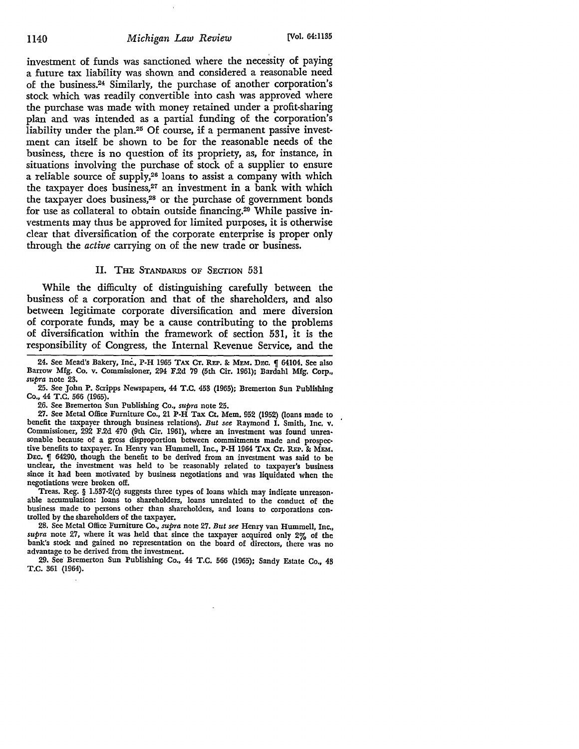investment of funds was sanctioned where the necessity of paying a future tax liability was shown and considered a reasonable need of the business.24 Similarly, the purchase of another corporation's stock which was readily convertible into cash was approved where the purchase was made with money retained under a profit-sharing plan and was intended as a partial funding of the corporation's liability under the plan.25 Of course, if a permanent passive investment can itself be shown to be for the reasonable needs of the business, there is no question of its propriety, as, for instance, in situations involving the purchase of stock of a supplier to ensure a reliable source of supply,26 loans to assist a company with which the taxpayer does business, $27$  an investment in a bank with which the taxpayer does business,<sup>28</sup> or the purchase of government bonds for use as collateral to obtain outside financing.29 While passive investments may thus be approved for limited purposes, it is othenvise clear that diversification of the corporate enterprise is proper only through the *active* carrying on of the new trade or business.

#### II. THE STANDARDS OF SECTION 531

While the difficulty of distinguishing carefully between the business of a corporation and that of the shareholders, and also between legitimate corporate diversification and mere diversion of corporate funds, may be a cause contributing to the problems of diversification within the framework of section 531, it is the responsibility of Congress, the Internal Revenue Service, and the

26. See Bremerton Sun Publishing Co., *supra* note 25.

2'7. See Metal Office Furniture Co., 21 P-H Tax Ct, Mem. 952 (1952) (loans made to benefit the taxpayer through business relations). *But see* Raymond I. Smith, Inc, v. Commissioner, 292 F.2d 470 (9th Cir. 1961), where an investment was found unreasonable because of a gross disproportion between commitments made and prospective benefits to taxpayer. In Henry van Hummell, Inc., P-H 1964 TAX Cr. REP. & MEM. DEC.  $\parallel$  64290, though the benefit to be derived from an investment was said to be unclear, the investment was held to be reasonably related to taxpayer's business since it had been motivated by business negotiations and was liquidated when the negotiations were broken off.

Treas. Reg. § 1.537-2(c) suggests three types of loans which may indicate unreasonable accumulation: loans to shareholders, loans unrelated to the conduct of the business made to persons other than shareholders, and loans to corporations con- trolled by the shareholders of the taxpayer.

28. See Metal Office Furniture Co., *supra* note 27. *But see* Henry van Hummell, Inc., *supra* note 27, where it was held that since the taxpayer acquired only 2% of the bank's stock and gained no representation on the board of directors, there was no advantage to be derived from the investment.

29. See Bremerton Sun Publishing Co., 44 T.C. 566 (1965); Sandy Estate Co,, 48 T.C. 361 (1964).

<sup>24.</sup> See Mead's Bakery, Inc., P-H 1965 TAX Cr. REP. & MEM. DEC. ¶ 64104, See also Barrow Mfg. Co. v. Commissioner, 294 F.2d '79 (5th Cir. 1961); Bardahl Mfg, Corp., *supra* note 23.

<sup>25.</sup> See John P. Scripps Newspapers, 44 T.C. 453 (1965); Bremerton Sun Publishing Co., 44 T.C. 566 (1965).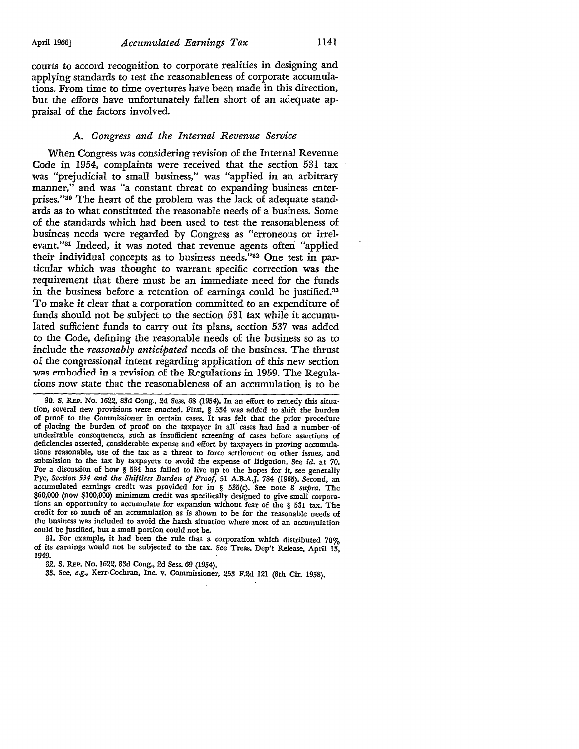courts to accord recognition to corporate realities in designing and applying standards to test the reasonableness of corporate accumulations. From time to time overtures have been made in this direction, but the efforts have unfortunately fallen short of an adequate appraisal of the factors involved.

#### A. *Congress and the Internal Revenue Service*

When Congress was considering revision of the Internal Revenue Code in 1954, complaints were received that the section 531 tax was "prejudicial to small business," was "applied in an arbitrary manner," and was "a constant threat to expanding business enterprises."30 The heart of the problem was the lack of adequate standards as to what constituted the reasonable needs of a business. Some of the standards which had been used to test the reasonableness of business needs were regarded by Congress as "erroneous or irrelevant."31 Indeed, it was noted that revenue agents often "applied their individual concepts as to business needs. "32 One test in particular which was thought to warrant specific correction was the requirement that there must be an immediate need for the funds in the business before a retention of earnings could be justified.33 To make it clear that a corporation committed to an expenditure of funds should not be subject to the section 531 tax while it accumulated sufficient funds to carry out its plans, section 537 was added to the Code, defining the reasonable needs of the business so as to include the *reasonably anticipated* needs of the business. The thrust of the congressional intent regarding application of this new section was embodied in a revision of the Regulations in 1959. The Regulations now state that the reasonableness of an accumulation is to be

31. For example, it had been the rule that a corporation which distributed 70% of its earnings would not be subjected to the tax. See Treas. Dep't Release, April 13,

32. S. REP. No. 1622, 83d Cong., 2d Sess. 69 (1954).

33. See, *e.g.,* Kerr-Cochran, Inc. v. Commissioner, 253 F.2d 121 (8th Cir. 1958).

<sup>30.</sup> S. REP. No. 1622, 83d Cong., 2d Sess. 68 (1954). In an effort to remedy this situation, several new provisions were enacted. First, § 534 was added to shift the burden of proof to the Commissioner in certain cases. It was felt that the prior procedure of placing the burden of proof on the taxpayer in all' cases had had a number ·of undesirable consequences, such as insufficient screening of cases before assertions of deficiencies asserted, considerable expense and effort by taxpayers in proving accumulations reasonable, use of the tax as a threat to force settlement on other issues, and submission to the tax by taxpayers to avoid the expense of litigation. See id. at 70. For a discussion of how § 534 has failed to live up to the hopes for it, see generally Pye, *Section 534 and the Shiftless Burden of Proof,* 51 A.B.A.J. 784 (1965). Second, an accumulated earnings credit was provided for in § 535(c). See note 8 *supra.* The \$60,000 (now \$100,000) minimum credit was specifically designed to give small corporations an opportunity to accumulate for expansion without fear of the § 531 tax. The credit for so much of an accumulation as is shown to be for the reasonable needs of the business was included to avoid the harsh situation where most of an accumulation could be justified, but a small portion could not be.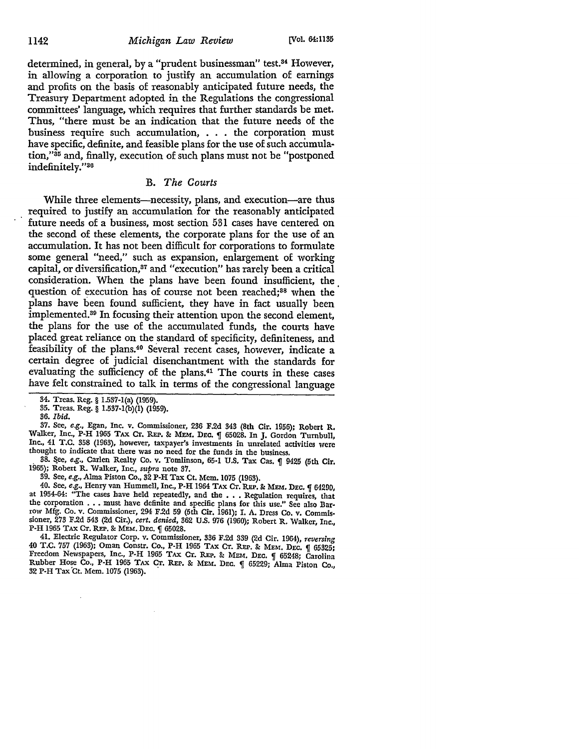determined, in general, by a "prudent businessman" test.<sup>34</sup> However, in allowing a corporation to justify an accumulation of earnings and profits on the basis of reasonably anticipated future needs, the Treasury Department adopted in the Regulations the congressional committees' language, which requires that further standards be met. Thus, "there must be an indication that the future needs of the business require such accumulation,  $\ldots$  the corporation must have specific, definite, and feasible plans for the use of such accumulation,''35 and, finally, execution of such plans must not be "postponed indefinitely."36

### B. *The Courts*

While three elements—necessity, plans, and execution—are thus required to justify an accumulation for the reasonably anticipated future needs of a business, most section 531 cases have centered on the second of these elements, the corporate plans for the use of an accumulation. It has not been difficult for corporations to formulate some general "need," such as expansion, enlargement of working capital, or diversification,<sup>37</sup> and "execution" has rarely been a critical consideration. When the plans have been found insufficient, the , question of execution has of course not been reached;<sup>38</sup> when the plans have been found sufficient, they have in fact usually been implemented.89 In focusing their attention upon the second element, the plans for the use of the accumulated funds, the courts have placed great reliance on the standard of specificity, definiteness, and feasibility of the plans.40 Several recent cases, however, indicate a certain degree of judicial disenchantment with the standards for evaluating the sufficiency of the plans.41 The courts in these cases have felt constrained to talk in terms of the congressional language

37. See, *e.g.,* Egan, Inc. v. Commissioner, 236 F.2d 343 (8th Cir. 1956); Robert R. Walker, Inc., P-H 1965 TAX Cr. REP. & MEM. DEC. 1 65028. In J. Gordon Turnbull, Inc., 41 T.C. 358 (1963), however, taxpayer's investments in unrelated activities were thought to indicate that there was no need for the funds in the business,

38. See, e.g., Carlen Realty Co. v. Tomlinson, 65-1 U.S. Tax Cas. **1** 9425 (5th Cir. 1965); Robert R. Walker, Inc., *supra* note 37.

39. See, *e.g.,* Alma Piston Co., 32 P-H Tax Ct. Mem. 1075 (1963).

40. See, *e.g.*, Henry van Hummell, Inc., P-H 1964 TAX Cr. Rev. & Mem. Dec. ¶ 64290, at 1954-64: "The cases have held repeatedly, and the . . . Regulation requires, that the corporation . . . must have definite and specific plans for this use." See also Barrow Mfg. Co. v. Commissioner, 294 F.2d 59 (5th Cir. 1961); I. A. Dress Co, v. Commissioner, 273 F.2d 543 (2d Cir.), *cert. denied,* 362 U.S. 976 (1960); Robert R. Walker, Inc., P-H 1965 TAX CT. REP. & MEM. DEC.  $\P$  65028.

41. Electric Regulator Corp. v. Commissioner, 336 F.2d 339 (2d Cir. 1964), *reversing*  40 T.C. 757 (1963); Oman Constr. Co., P-H 1965 TAX CT. REP. & MEM. DEC, 1 65325; Freedom Newspapers, Inc., P-H 1965 TAx Cr. REP. & MEM. DEC. ¶ 65248; Carolina Rubber Hose Co., P-H 1965 TAX Cr. REP. & MEM. DEC. ¶ 65229; Alma Piston Co., 32 P-H Tax Ct. Mem. 1075 (1963).

<sup>84.</sup> Treas. Reg. § 1.537-l(a) (1959).

<sup>35.</sup> Treas. Reg. § 1.537-l(b)(l) (1959).

<sup>36.</sup> *Ibid.*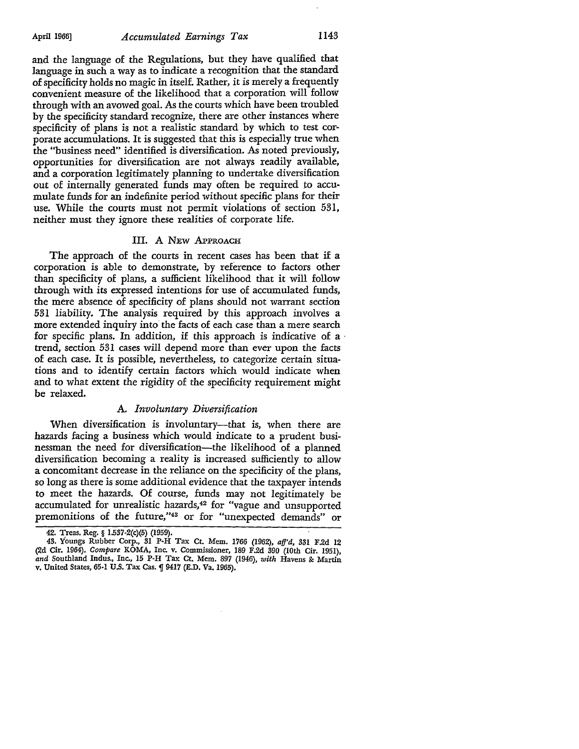and the language of the Regulations, but they have qualified that language in such a way as to indicate a recognition that the standard of specificity holds no magic in itself. Rather, it is merely a frequently convenient measure of the likelihood that a corporation will follow through with an avowed goal. As the courts which have been troubled by the specificity standard recognize, there are other instances where specificity of plans is not a realistic standard by which to test corporate accumulations. It is suggested that this is especially true when the "business need" identified is diversification. As noted previously, opportunities for diversification are not always readily available, and a corporation legitimately planning to undertake diversification out of internally generated funds may often be required to accumulate funds for an indefinite period without specific plans for their use. While the courts must not permit violations of section 531, neither must they ignore these realities of corporate life.

#### III. A NEW APPROACH

The approach of the courts in recent cases has been that if a corporation is able to demonstrate, by reference to factors other than specificity of plans, a sufficient likelihood that it will follow through with its expressed intentions for use of accumulated funds, the mere absence of specificity of plans should not warrant section 531 liability. The analysis required by this approach involves a more extended inquiry into the facts of each case than a mere search for specific plans. In addition, if this approach is indicative of a  $\cdot$ trend, section 531 cases will depend more than ever upon the facts of each case. It is possible, nevertheless, to categorize certain situations and to identify certain factors which would indicate when and to what extent the rigidity of the specificity requirement might be relaxed.

#### A. *Involuntary Diversification*

When diversification is involuntary—that is, when there are hazards facing a business which would indicate to a prudent businessman the need for diversification-the likelihood of a planned diversification becoming a reality is increased sufficiently to allow a concomitant decrease in the reliance on the specificity of the plans, so long as there is some additional evidence that the taxpayer intends to meet the hazards. Of course, funds may not legitimately be accumulated for unrealistic hazards,<sup>42</sup> for "vague and unsupported premonitions of the future,"<sup>43</sup> or for "unexpected demands" or

<sup>42.</sup> Treas. Reg. § l.537•2(c)(5) (1959).

<sup>43.</sup> Youngs Rubber Corp., 31 P·H Tax Ct. Mero. 1766 (1962), *afj'd,* 331 F.2d **12**  (2d Cir. 1964). *Compare* KOMA, Inc. v. Commissioner, 189 F.2d 390 (10th Cir. 1951), *and* Southland Indus., Inc., 15 P·H Tax Ct. Mem. 897 (1946), *with* Havens & Martin v. United States, 65-1 U.S. Tax Cas. ¶ 9417 (E.D. Va. 1965).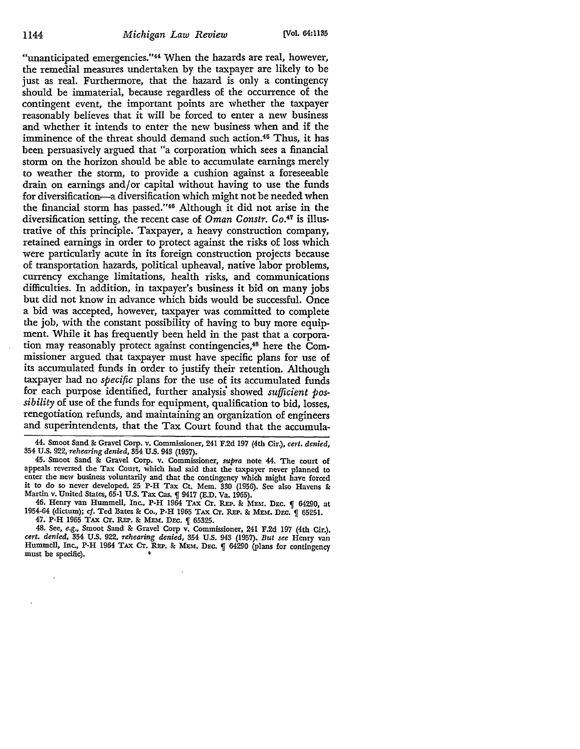"unanticipated emergencies."44 When the hazards are real, however, the remedial measures undertaken by the taxpayer are likely to be just as real. Furthermore, that the hazard is only a contingency should be immaterial, because regardless of the occurrence of the contingent event, the important points are whether the taxpayer reasonably believes that it will be forced to enter a new business and whether it intends to enter the new business when and if the imminence of the threat should demand such action.40 Thus, it has been persuasively argued that "a corporation which sees a financial storm on the horizon should be able to accumulate earnings merely to weather the storm, to provide a cushion against a foreseeable drain on earnings and/or capital without having to use the funds for diversification~a diversification which might not be needed when the financial storm has passed."46 Although it did not arise in the diversification setting, the recent case of *Oman Constr. Co.*<sup>47</sup> is illustrative of this principle. Taxpayer, a heavy construction company, retained earnings in order to protect against the risks of loss which were particularly acute in its foreign construction projects because of transportation hazards, political upheaval, native labor problems, currency exchange limitations, health risks, and communications difficulties. In addition, in taxpayer's business it bid on many jobs but did not know in advance which bids would be successful. Once a bid was accepted, however, taxpayer was committed to complete the job, with the constant possibility of having to buy more equipment. While it has frequently been held in the past that a corporation may reasonably protect against contingencies,48 here the Commissioner argued that taxpayer must have specific plans for use of its accumulated funds in order to justify their retention. Although taxpayer had no *specific* plans for the use of its accumulated funds for each purpose identified, further analysis' showed *sufficient possibility* of use of the funds for equipment, qualification to bid, losses, renegotiation refunds, and maintaining an organization of engineers and superintendents, that the Tax Court found that the accumula-

44. Smoot Sand &: Gravel Corp. v. Commissioner, 241 F.2d 197 (4th Cir.), *cert. denied,*  354 U.S. 922, *rehearing denied,* 354 U.S. 943 (1957).

45. Smoot Sand &: Gravel Corp. v. Commissioner, *supra* note 44. The court of appeals reversed the Tax Court, which had said that the taxpayer never planned to enter the new business voluntarily and that the contingency which might have forced it to do so never developed. 25 P-H Tax Ct. Mem. 330 (1956). See also Havens &: Martin v. United States, 65-1 U.S. Tax Cas. ¶ 9417 (E.D. Va. 1965).

46. Henry van Hummell, Inc., P-H 1964 TAX Or. REP. &: MEM, DEC, 'J 64290, at 1954-64 (dictum); cf. Ted Bates & Co., P-H 1965 TAX Cr. REP. & MEM. DEC.  $\int$  65251. 47. P-H 1965 TAX CT. REP. & MEM. DEC.  $\mathbb{q}$  65325.

48. See, *e.g.,* Smoot Sand &: Gravel Corp v. Commissioner, 241 F,2d 197 (4th Cir.), *cert. denied,* 354 U.S. 922, *rehearing denied,* 354 U.S. 943 (1957). *But see* Henry van Hummell, Inc., P-H 1964 TAX CT. REP. & MEM. DEC.  $\oint$  64290 (plans for contingency must be specific).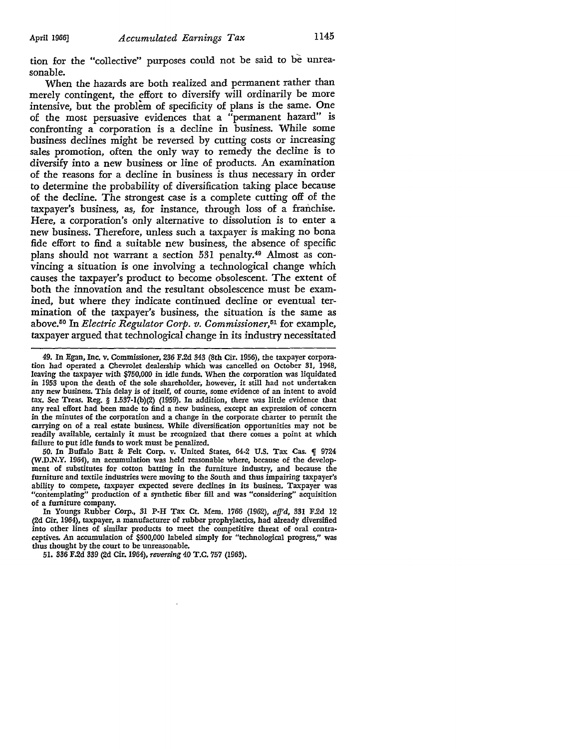tion for the "collective" purposes could not be said to be unreasonable.

When the hazards are both realized and permanent rather than merely contingent, the effort to diversify will ordinarily be more intensive, but the problem of specificity of plans is the same. One of the most persuasive evidences that a "permanent hazard" is confronting a corporation is a decline in business. While some business declines might be reversed by cutting costs or increasing sales promotion, often the only way to remedy the decline is to diversify into a new business or line of products. An examination of the reasons for a decline in business is thus necessary in order to determine the probability of diversification taking place because of the decline. The strongest case is a complete cutting off of the taxpayer's business, as, for instance, through loss of a franchise. Here, a corporation's only alternative to dissolution is to enter a new business. Therefore, unless such a taxpayer is making no bona fide effort to find a suitable new business, the absence of specific plans should not warrant a section 531 penalty.49 Almost as convincing a situation is one involving a technological change which causes the taxpayer's product to become obsolescent. The extent of both the innovation and the resultant obsolescence must be examined, but where they indicate continued decline or eventual termination of the taxpayer's business, the situation is the same as above.50 In *Electric Regulator Corp. v. Commissioner,51* for example, taxpayer argued that technological change in its industry necessitated

50. In Buffalo Batt & Felt Corp. v. United States, 64-2 U.S. Tax Cas. § 9724 (W.D.N.Y. 1964), an accumulation was held reasonable where, because of the development of substitutes for cotton batting in the furniture industry, and because the furniture and textile industries were moving to the South and thus impairing taxpayer's ability to compete, taxpayer expected severe declines in its business. Taxpayer was "contemplating" production of a synthetic fiber fill and was "considering" acquisition of a furniture company.

In Youngs Rubber Corp., 31 P-H Tax Ct. Mero. 1766 (1962), *a/fd,* 331 F.2d 12 (2d Cir. 1964), taxpayer, a manufacturer of rubber prophylactics, had already diversified into other lines of similar products to meet the competitive threat of oral contraceptives. An accumulation of \$500,000 labeled simply for "technological progress,'' was thus thought by the court to be unreasonable.

51. 336 F.2d 339 (2d Cir. 1964), *reversing* 40 T.C. 757 (1963).

<sup>49.</sup> In Egan, Inc. v. Commissioner, 236 F.2d 343 (8th Cir. 1956), the taxpayer corporation had operated a Chevrolet dealership which was cancelled on October 31, 1948, leaving the taxpayer with \$750,000 in idle funds. When the corporation was liquidated in 1953 upon the death of the sole shareholder, however, it still had not undertaken any new business. This delay is of itself, of course, some evidence of an intent to avoid tax. See Treas. Reg. § 1.537-I(b)(2) (1959). In addition, there was little evidence that any real effort had been made to find a new business, except an expression of concern in the minutes of the corporation and a change in the corporate charter to permit the carrying on of a real estate business. While diversification opportunities may not be readily available, certainly it must be recognized that there comes a point at which failure to put idle funds to work must be penalized.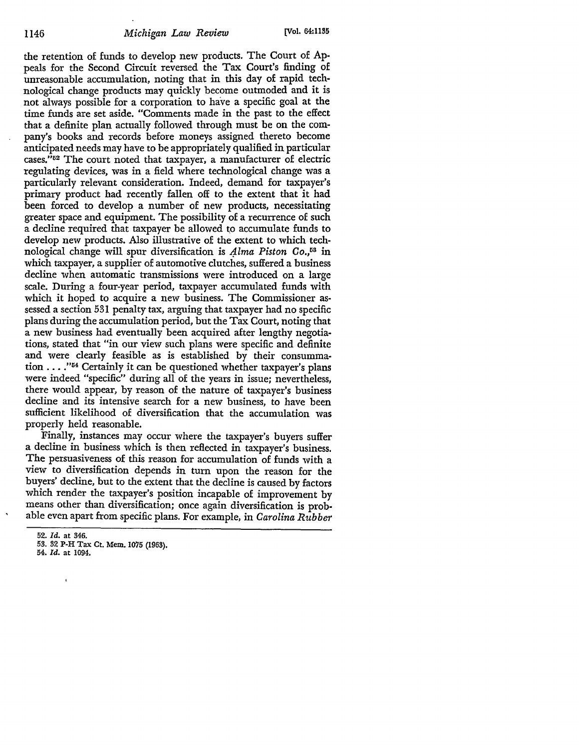the retention of funds to develop new products. The Court of Appeals for the Second Circuit reversed the Tax Court's finding of unreasonable accumulation, noting that in this day of rapid technological change products may quickly become outmoded and it is not always possible for a corporation to have a specific goal at the time funds are set aside. "Comments made in the past to the effect that a definite plan actually followed through must be on the company's books and records before moneys assigned thereto become anticipated needs may have to be appropriately qualified in particular cases."62 The court noted that taxpayer, a manufacturer of electric regulating devices, was in a field where technological change was a particularly relevant consideration. Indeed, demand for taxpayer's primary product had recently fallen off to the extent that it had been forced to develop a number of new products, necessitating greater space and equipment. The possibility of a recurrence of such a decline required that taxpayer be allowed to accumulate funds to develop new products. Also illustrative of the extent to which technological change will spur diversification is *Alma Piston Go.*<sup>58</sup> in which taxpayer, a supplier of automotive clutches, suffered a business decline when automatic transmissions were introduced on a large scale. During a four-year period, taxpayer accumulated funds with which it hoped to acquire a new business. The Commissioner assessed a section 531 penalty tax, arguing that taxpayer had no specific plans during the accumulation period, but the Tax Court, noting that a new business had eventually been acquired after lengthy negotiations, stated that "in our view such plans were specific and definite and were clearly feasible as is established by their consummation .... "64 Certainly it can be questioned whether taxpayer's plans were indeed "specific" during all of the years in issue; nevertheless, there would appear, by reason of the nature of taxpayer's business decline and its intensive search for a new business, to have been sufficient likelihood of diversification that the accumulation was properly held reasonable.

Finally, instances may occur where the taxpayer's buyers suffer a decline in business which is then reflected in taxpayer's business. The persuasiveness of this reason for accumulation of funds with a view to diversification depends in turn upon the reason for the buyers' decline, but to the extent that the decline is caused by factors which render the taxpayer's position incapable of improvement by means other than diversification; once again diversification is probable even apart from specific plans. For example, in *Carolina Rubber* 

<sup>52.</sup> *Id.* at 346.

<sup>53. 32</sup> P-H Tax Ct. Mem. 1075 (1963).

<sup>54.</sup> *Id.* at 1094.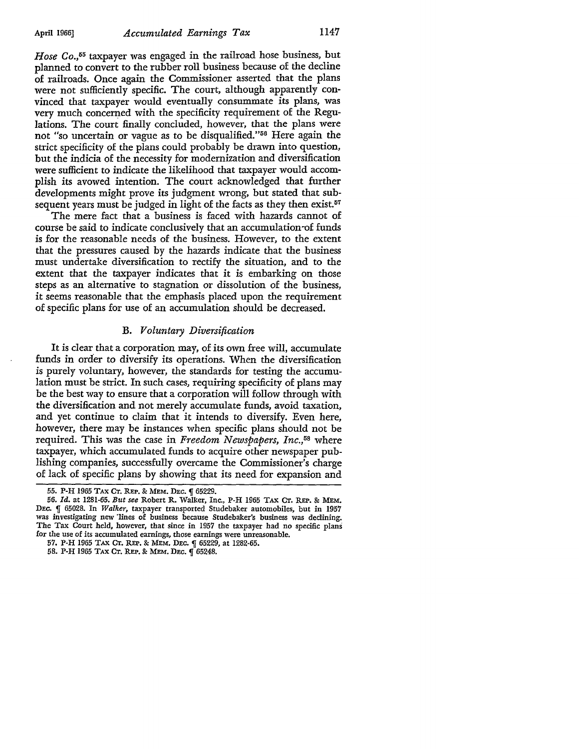*Hose Co.*<sup>55</sup> taxpayer was engaged in the railroad hose business, but planned to convert to the rubber roll business because of the decline of railroads. Once again the Commissioner asserted that the plans were not sufficiently specific. The court, although apparently convinced that taxpayer would eventually consummate its plans, was very much concerned with the specificity requirement of the Regulations. The court finally concluded, however, that the plans were not "so uncertain or vague as to be disqualified."56 Here again the strict specificity of the plans could probably be drawn into question, but the indicia of the necessity for modernization and diversification were sufficient to indicate the likelihood that taxpayer would accomplish its avowed intention. The court acknowledged that further developments might prove its judgment wrong, but stated that subsequent years must be judged in light of the facts as they then exist.<sup>57</sup>

The mere fact that a business is faced with hazards cannot of course be said to indicate conclusively that an accumulation of funds is for the reasonable needs of the business. However, to the extent that the pressures caused by the hazards indicate that the business must undertake diversification to rectify the situation, and to the extent that the taxpayer indicates that it is embarking on those steps as an alternative to stagnation or dissolution of the business, it seems reasonable that the emphasis placed upon the requirement of specific plans for use of an accumulation should be decreased.

#### B. *Voluntary Diversification*

It is clear that a corporation may, of its own free will, accumulate funds in order to diversify its operations. When the diversification is purely voluntary, however, the standards for testing the accumulation must be strict. In such cases, requiring specificity of plans may be the best way *to* ensure that a corporation will follow through with the diversification and not merely accumulate funds, avoid taxation, and yet continue to claim that it intends to diversify. Even here, however, there may be instances when specific plans should not be required. This was the case in *Freedom Newspapers, Inc.*<sup>58</sup> where taxpayer, which accumulated funds to acquire other newspaper publishing companies, successfully overcame the Commissioner's charge of lack of specific plans by showing that its need for expansion and

58. P-H 1965 TAX CT. REP. & MEM. DEC. ¶ 65248.

<sup>55.</sup> P-H 1965 TAX CT. REP. & MEM. DEC.  $\P$  65229.

<sup>56.</sup> *Id.* at 1281-65. *But see* Robert R. Walker, Inc., P-H 1965 TAX CT. REP. 8: MEM. DEC. **[** 65028. In *Walker*, taxpayer transported Studebaker automobiles, but in 1957 was investigating new "lines of business because Studebaker's business was declining. The Tax Court held, however, that since in 1957 the taxpayer had no specific plans for the use of its accumulated earnings, those earnings were unreasonable.

<sup>57.</sup> P-H 1965 TAX CT. REP. & MEM. DEC. [ 65229, at 1282-65.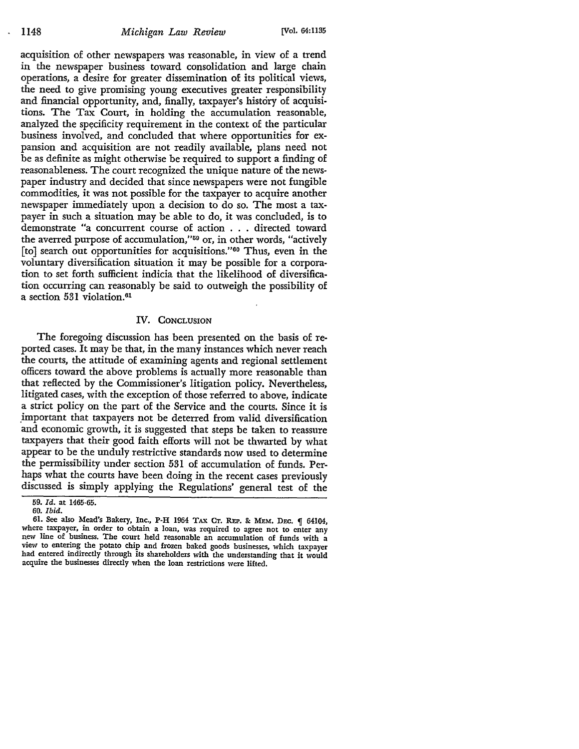acquisition of other newspapers was reasonable, in view of a trend in the newspaper business toward consolidation and large chain operations, a desire for greater dissemination of its political views, the need to give promising young executives greater responsibility and financial opportunity, and, finally, taxpayer's history of acquisitions. The Tax Court, in holding the accumulation reasonable, analyzed the specificity requirement in the context of the particular business involved, and concluded that where opportunities for expansion and acquisition are not readily available, plans need not be as definite as might othenvise be required to support a finding of reasonableness. The court recognized the unique nature of the newspaper industry and decided that since newspapers were not fungible commodities, it was not possible for the taxpayer to acquire another newspaper immediately upon a decision to do so. The most a taxpayer in such a situation may be able to do, it was concluded, is to demonstrate "a concurrent course of action . . . directed toward the averred purpose of accumulation,"50 or, in other words, "actively [to] search out opportunities for acquisitions."<sup>60</sup> Thus, even in the voluntary diversification situation it may be possible for a corporation to set forth sufficient indicia that the likelihood of diversification occurring can reasonably be said to outweigh the possibility of a section 531 violation.<sup>61</sup>

#### IV. **CONCLUSION**

The foregoing discussion has been presented on the basis of reported cases. It may be that, in the many instances which never reach the courts, the attitude of examining agents and regional settlement officers toward the above problems is actually more reasonable than that reflected by the Commissioner's litigation policy. Nevertheless, litigated cases, with the exception of those referred to above, indicate a strict policy on the part of the Service and the courts. Since it is \_important that taxpayers not be deterred from valid diversification and economic growth, it is suggested that steps be taken to reassure taxpayers that their good faith efforts will not be thwarted by what appear to be the unduly restrictive standards now used to determine the permissibility under section 531 of accumulation of funds. Perhaps what the courts have been doing in the recent cases previously discussed is simply applying the Regulations' general test of the

<sup>59.</sup> *Id.* at 1465-65.

<sup>60.</sup> *Ibid.* 

<sup>61.</sup> See also Mead's Bakery, Inc., P-H 1964 TAX CT. REP. & MEM. DEC. 1 64104, where taxpayer, in order to obtain a loan, was required to agree not to enter any new line of business. The court held reasonable an accumulation of funds with a view to entering the potato chip and frozen baked goods businesses, which taxpayer had entered indirectly through its shareholders with the understanding that it would acquire the businesses directly when the loan restrictions were lifted.